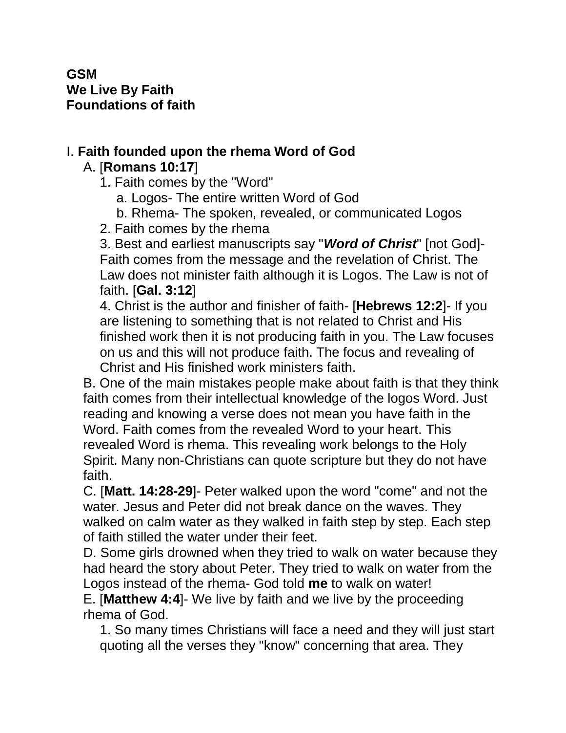## **GSM We Live By Faith Foundations of faith**

## I. **Faith founded upon the rhema Word of God**

## A. [**Romans 10:17**]

1. Faith comes by the "Word"

- a. Logos- The entire written Word of God
- b. Rhema- The spoken, revealed, or communicated Logos
- 2. Faith comes by the rhema

3. Best and earliest manuscripts say "*Word of Christ*" [not God]- Faith comes from the message and the revelation of Christ. The Law does not minister faith although it is Logos. The Law is not of faith. [**Gal. 3:12**]

4. Christ is the author and finisher of faith- [**Hebrews 12:2**]- If you are listening to something that is not related to Christ and His finished work then it is not producing faith in you. The Law focuses on us and this will not produce faith. The focus and revealing of Christ and His finished work ministers faith.

B. One of the main mistakes people make about faith is that they think faith comes from their intellectual knowledge of the logos Word. Just reading and knowing a verse does not mean you have faith in the Word. Faith comes from the revealed Word to your heart. This revealed Word is rhema. This revealing work belongs to the Holy Spirit. Many non-Christians can quote scripture but they do not have faith.

C. [**Matt. 14:28-29**]- Peter walked upon the word "come" and not the water. Jesus and Peter did not break dance on the waves. They walked on calm water as they walked in faith step by step. Each step of faith stilled the water under their feet.

D. Some girls drowned when they tried to walk on water because they had heard the story about Peter. They tried to walk on water from the Logos instead of the rhema- God told **me** to walk on water!

E. [**Matthew 4:4**]- We live by faith and we live by the proceeding rhema of God.

1. So many times Christians will face a need and they will just start quoting all the verses they "know" concerning that area. They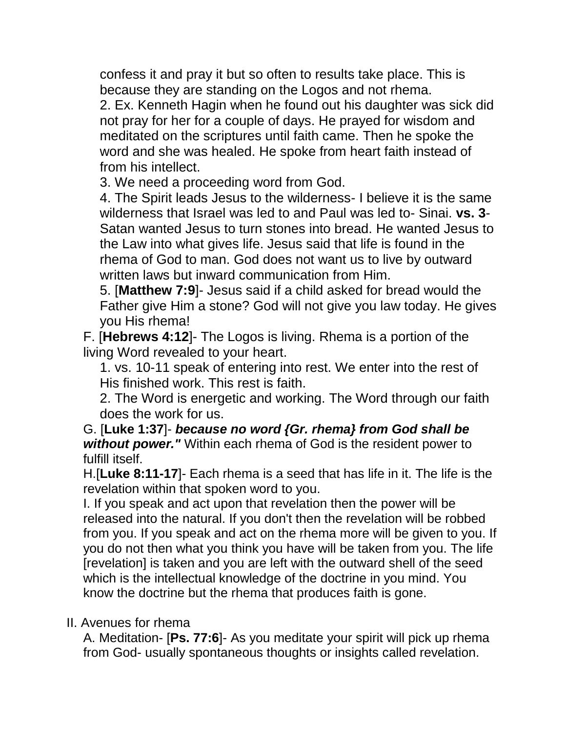confess it and pray it but so often to results take place. This is because they are standing on the Logos and not rhema.

2. Ex. Kenneth Hagin when he found out his daughter was sick did not pray for her for a couple of days. He prayed for wisdom and meditated on the scriptures until faith came. Then he spoke the word and she was healed. He spoke from heart faith instead of from his intellect.

3. We need a proceeding word from God.

4. The Spirit leads Jesus to the wilderness- I believe it is the same wilderness that Israel was led to and Paul was led to- Sinai. **vs. 3**- Satan wanted Jesus to turn stones into bread. He wanted Jesus to the Law into what gives life. Jesus said that life is found in the rhema of God to man. God does not want us to live by outward written laws but inward communication from Him.

5. [**Matthew 7:9**]- Jesus said if a child asked for bread would the Father give Him a stone? God will not give you law today. He gives you His rhema!

F. [**Hebrews 4:12**]- The Logos is living. Rhema is a portion of the living Word revealed to your heart.

1. vs. 10-11 speak of entering into rest. We enter into the rest of His finished work. This rest is faith.

2. The Word is energetic and working. The Word through our faith does the work for us.

G. [**Luke 1:37**]- *because no word {Gr. rhema} from God shall be without power."* Within each rhema of God is the resident power to fulfill itself.

H.[**Luke 8:11-17**]- Each rhema is a seed that has life in it. The life is the revelation within that spoken word to you.

I. If you speak and act upon that revelation then the power will be released into the natural. If you don't then the revelation will be robbed from you. If you speak and act on the rhema more will be given to you. If you do not then what you think you have will be taken from you. The life [revelation] is taken and you are left with the outward shell of the seed which is the intellectual knowledge of the doctrine in you mind. You know the doctrine but the rhema that produces faith is gone.

II. Avenues for rhema

A. Meditation- [**Ps. 77:6**]- As you meditate your spirit will pick up rhema from God- usually spontaneous thoughts or insights called revelation.